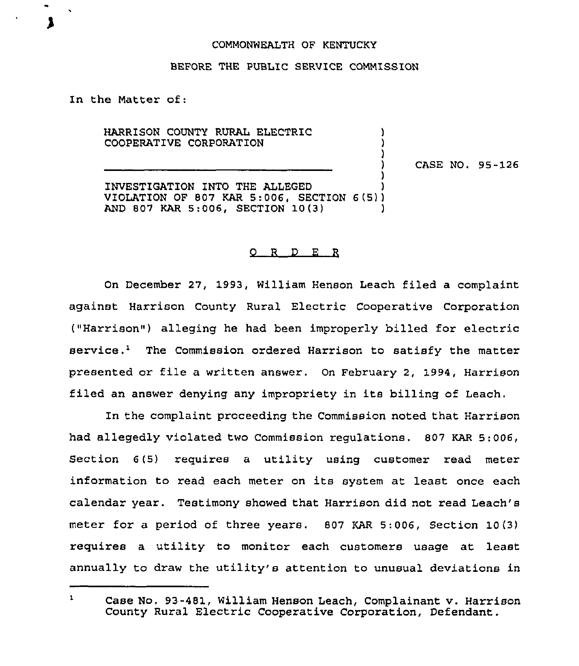## COMMONWEALTH OF KENTUCKY

## BEFORE THE PUBLIC SERVICE COMMISSION

In the Matter of:

HARRISON COUNTY RURAL ELECTRIC COOPERATIVE CORPORATION

CASE NO. 95-126

) )

)

) INVESTIGATION INTO THE ALLEGED ) VIOLATION OF 807 KAR 5:006< SECTION 6(5)) AND 807 KAR 5:006, SECTION 10(3) )

## 0 <sup>R</sup> <sup>D</sup> E R

On December 27, 1993, William Henson Leach filed a complaint against Harrison County Rural Electric Cooperative Corporation ("Harrison") alleging he had been improperly billed for electric  $s$ ervice.<sup>1</sup> The Commission ordered Harrison to satisfy the matter presented or file <sup>a</sup> written answer. On February 2, 1994, Harrison filed an answer denying any impropriety in its billing of Leach.

In the complaint proceeding the Commission noted that Harrison had allegedly violated two Commission regulations. 807 KAR 5:006, Section <sup>6</sup> (5) requires a utility using customer read meter information to read each meter on its system at least once each calendar year. Testimony showed that Harrison did not read Leach's meter for a period of three years. 807 KAR 5;006, Section 10(3) requires a utility to monitor each customers usage at least annually to draw the utility's attention to unusual deviations in

 $\mathbf{1}$ Case No. 93-481, William Henson Leach, Complainant v. Harrison County Rural Electric Cooperative Corporation, Defendant.